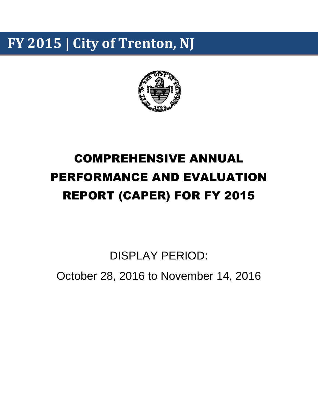# **FY 2015 | City of Trenton, NJ**



# COMPREHENSIVE ANNUAL PERFORMANCE AND EVALUATION REPORT (CAPER) FOR FY 2015

DISPLAY PERIOD:

October 28, 2016 to November 14, 2016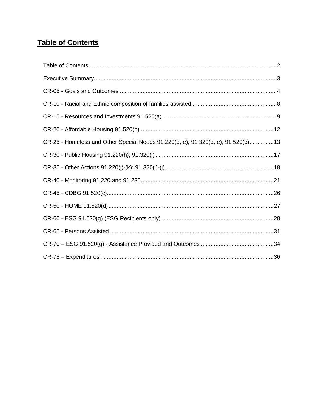# <span id="page-1-0"></span>**Table of Contents**

| CR-25 - Homeless and Other Special Needs 91.220(d, e); 91.320(d, e); 91.520(c)13 |
|----------------------------------------------------------------------------------|
|                                                                                  |
|                                                                                  |
|                                                                                  |
|                                                                                  |
|                                                                                  |
|                                                                                  |
|                                                                                  |
|                                                                                  |
|                                                                                  |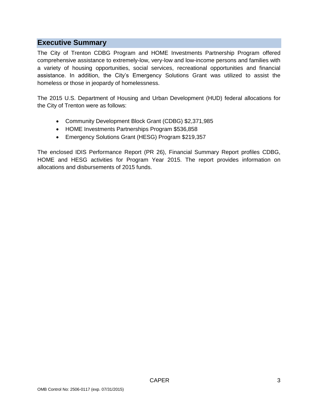# <span id="page-2-0"></span>**Executive Summary**

The City of Trenton CDBG Program and HOME Investments Partnership Program offered comprehensive assistance to extremely-low, very-low and low-income persons and families with a variety of housing opportunities, social services, recreational opportunities and financial assistance. In addition, the City's Emergency Solutions Grant was utilized to assist the homeless or those in jeopardy of homelessness.

The 2015 U.S. Department of Housing and Urban Development (HUD) federal allocations for the City of Trenton were as follows:

- Community Development Block Grant (CDBG) \$2,371,985
- HOME Investments Partnerships Program \$536,858
- Emergency Solutions Grant (HESG) Program \$219,357

The enclosed IDIS Performance Report (PR 26), Financial Summary Report profiles CDBG, HOME and HESG activities for Program Year 2015. The report provides information on allocations and disbursements of 2015 funds.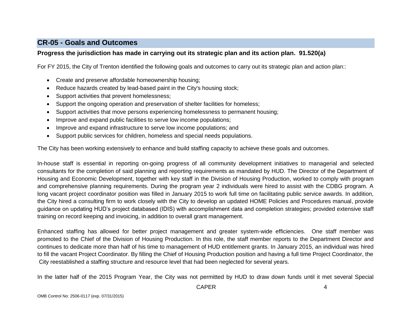# **CR-05 - Goals and Outcomes**

#### **Progress the jurisdiction has made in carrying out its strategic plan and its action plan. 91.520(a)**

For FY 2015, the City of Trenton identified the following goals and outcomes to carry out its strategic plan and action plan::

- Create and preserve affordable homeownership housing;
- Reduce hazards created by lead-based paint in the City's housing stock;
- Support activities that prevent homelessness;
- Support the ongoing operation and preservation of shelter facilities for homeless;
- Support activities that move persons experiencing homelessness to permanent housing;
- Improve and expand public facilities to serve low income populations;
- Improve and expand infrastructure to serve low income populations; and
- <span id="page-3-0"></span>Support public services for children, homeless and special needs populations.

The City has been working extensively to enhance and build staffing capacity to achieve these goals and outcomes.

In-house staff is essential in reporting on-going progress of all community development initiatives to managerial and selected consultants for the completion of said planning and reporting requirements as mandated by HUD. The Director of the Department of Housing and Economic Development, together with key staff in the Division of Housing Production, worked to comply with program and comprehensive planning requirements. During the program year 2 individuals were hired to assist with the CDBG program. A long vacant project coordinator position was filled in January 2015 to work full time on facilitating public service awards. In addition, the City hired a consulting firm to work closely with the City to develop an updated HOME Policies and Procedures manual, provide guidance on updating HUD's project databased (IDIS) with accomplishment data and completion strategies; provided extensive staff training on record keeping and invoicing, in addition to overall grant management.

Enhanced staffing has allowed for better project management and greater system-wide efficiencies. One staff member was promoted to the Chief of the Division of Housing Production. In this role, the staff member reports to the Department Director and continues to dedicate more than half of his time to management of HUD entitlement grants. In January 2015, an individual was hired to fill the vacant Project Coordinator. By filling the Chief of Housing Production position and having a full time Project Coordinator, the City reestablished a staffing structure and resource level that had been neglected for several years.

In the latter half of the 2015 Program Year, the City was not permitted by HUD to draw down funds until it met several Special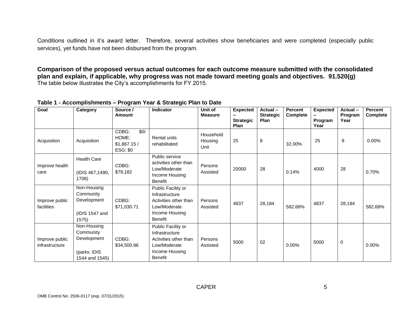Conditions outlined in it's award letter. Therefore, several activities show beneficiaries and were completed (especially public services), yet funds have not been disbursed from the program.

**Comparison of the proposed versus actual outcomes for each outcome measure submitted with the consolidated plan and explain, if applicable, why progress was not made toward meeting goals and objectives. 91.520(g)** The table below illustrates the City's accomplishments for FY 2015.

#### **Table 1 - Accomplishments – Program Year & Strategic Plan to Date**

| Goal                             | Category                                                                  | Source /<br>Amount                                       | Indicator                                                                                                         | Unit of<br><b>Measure</b>    | <b>Expected</b><br><b>Strategic</b><br>Plan | Actual-<br><b>Strategic</b><br><b>Plan</b> | Percent<br><b>Complete</b> | <b>Expected</b><br>Program<br>Year | Actual-<br>Program<br>Year | <b>Percent</b><br>Complete |
|----------------------------------|---------------------------------------------------------------------------|----------------------------------------------------------|-------------------------------------------------------------------------------------------------------------------|------------------------------|---------------------------------------------|--------------------------------------------|----------------------------|------------------------------------|----------------------------|----------------------------|
| Acquisition                      | Acquisition                                                               | CDBG:<br>\$0/<br>HOME:<br>\$1,867.15/<br><b>ESG: \$0</b> | Rental units<br>rehabilitated                                                                                     | Household<br>Housing<br>Unit | 25                                          | 8                                          | 32.00%                     | 25                                 | 8                          | 0.00%                      |
| Improve health<br>care           | <b>Health Care</b><br>(IDIS 467,1490,<br>1706)                            | CDBG:<br>\$79,182                                        | Public service<br>activities other than<br>Low/Moderate<br>Income Housing<br><b>Benefit</b>                       | Persons<br>Assisted          | 20000                                       | 28                                         | 0.14%                      | 4000                               | 28                         | 0.70%                      |
| Improve public<br>facilities     | Non-Housing<br>Community<br>Development<br>(IDIS 1547 and<br>1575)        | CDBG:<br>\$71,030.71                                     | Public Facility or<br>Infrastructure<br>Activities other than<br>Low/Moderate<br>Income Housing<br><b>Benefit</b> | Persons<br>Assisted          | 4837                                        | 28,184                                     | 582.68%                    | 4837                               | 28,184                     | 582.68%                    |
| Improve public<br>infrastructure | Non-Housing<br>Community<br>Development<br>(parks: IDIS<br>1544 and 1545) | CDBG:<br>\$34,500.86                                     | Public Facility or<br>Infrastructure<br>Activities other than<br>Low/Moderate<br>Income Housing<br><b>Benefit</b> | Persons<br>Assisted          | 5000                                        | 02                                         | 0.00%                      | 5000                               | 0                          | 0.00%                      |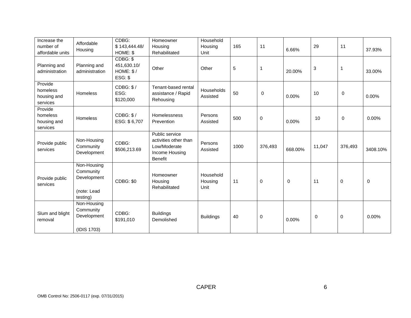| Increase the<br>number of<br>affordable units  | Affordable<br>Housing                                              | CDBG:<br>\$143,444.48/<br>HOME: \$              | Homeowner<br>Housing<br>Rehabilitated                                                | Household<br>Housing<br>Unit | 165            | 11          | 6.66%       | 29          | 11          | 37.93%      |
|------------------------------------------------|--------------------------------------------------------------------|-------------------------------------------------|--------------------------------------------------------------------------------------|------------------------------|----------------|-------------|-------------|-------------|-------------|-------------|
| Planning and<br>administration                 | Planning and<br>administration                                     | CDBG: \$<br>451,630.10/<br>HOME: \$/<br>ESG: \$ | Other                                                                                | Other                        | $\overline{5}$ | $\mathbf 1$ | 20.00%      | 3           | $\mathbf 1$ | 33.00%      |
| Provide<br>homeless<br>housing and<br>services | Homeless                                                           | CDBG: \$/<br>ESG:<br>\$120,000                  | Tenant-based rental<br>assistance / Rapid<br>Rehousing                               | Households<br>Assisted       | 50             | 0           | 0.00%       | 10          | 0           | 0.00%       |
| Provide<br>homeless<br>housing and<br>services | Homeless                                                           | CDBG: \$/<br>ESG: \$6,707                       | <b>Homelessness</b><br>Prevention                                                    | Persons<br>Assisted          | 500            | $\mathbf 0$ | 0.00%       | 10          | $\mathbf 0$ | $0.00\%$    |
| Provide public<br>services                     | Non-Housing<br>Community<br>Development                            | CDBG:<br>\$506,213.69                           | Public service<br>activities other than<br>Low/Moderate<br>Income Housing<br>Benefit | Persons<br>Assisted          | 1000           | 376,493     | 668.00%     | 11,047      | 376,493     | 3408.10%    |
| Provide public<br>services                     | Non-Housing<br>Community<br>Development<br>(note: Lead<br>testing) | CDBG: \$0                                       | Homeowner<br>Housing<br>Rehabilitated                                                | Household<br>Housing<br>Unit | 11             | $\mathbf 0$ | $\mathbf 0$ | 11          | $\mathbf 0$ | $\mathbf 0$ |
| Slum and blight<br>removal                     | Non-Housing<br>Community<br>Development<br>(IDIS 1703)             | CDBG:<br>\$191,010                              | <b>Buildings</b><br>Demolished                                                       | <b>Buildings</b>             | 40             | 0           | 0.00%       | $\mathbf 0$ | $\pmb{0}$   | 0.00%       |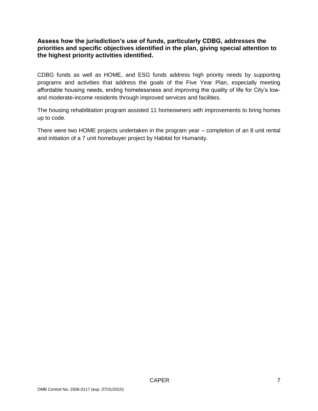## **Assess how the jurisdiction's use of funds, particularly CDBG, addresses the priorities and specific objectives identified in the plan, giving special attention to the highest priority activities identified.**

CDBG funds as well as HOME, and ESG funds address high priority needs by supporting programs and activities that address the goals of the Five Year Plan, especially meeting affordable housing needs, ending homelessness and improving the quality of life for City's lowand moderate-income residents through improved services and facilities.

The housing rehabilitation program assisted 11 homeowners with improvements to bring homes up to code.

There were two HOME projects undertaken in the program year – completion of an 8 unit rental and initiation of a 7 unit homebuyer project by Habitat for Humanity.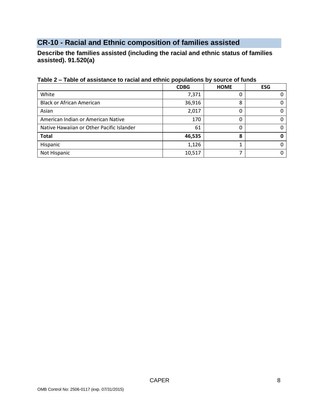# <span id="page-7-0"></span>**CR-10 - Racial and Ethnic composition of families assisted**

**Describe the families assisted (including the racial and ethnic status of families assisted). 91.520(a)** 

|                                           | <b>CDBG</b> | <b>HOME</b> | <b>ESG</b> |
|-------------------------------------------|-------------|-------------|------------|
| White                                     | 7,371       |             |            |
| <b>Black or African American</b>          | 36,916      | 8           |            |
| Asian                                     | 2,017       |             |            |
| American Indian or American Native        | 170         |             |            |
| Native Hawaiian or Other Pacific Islander | 61          |             |            |
| <b>Total</b>                              | 46,535      | 8           |            |
| Hispanic                                  | 1,126       |             |            |
| Not Hispanic                              | 10,517      |             |            |

## **Table 2 – Table of assistance to racial and ethnic populations by source of funds**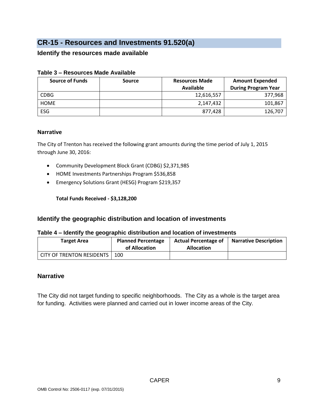# <span id="page-8-0"></span>**CR-15 - Resources and Investments 91.520(a)**

#### **Identify the resources made available**

| <b>Source of Funds</b> | <b>Source</b> | <b>Resources Made</b> | <b>Amount Expended</b>     |
|------------------------|---------------|-----------------------|----------------------------|
|                        |               | Available             | <b>During Program Year</b> |
| <b>CDBG</b>            |               | 12,616,557            | 377,968                    |
| <b>HOME</b>            |               | 2,147,432             | 101,867                    |
| <b>ESG</b>             |               | 877,428               | 126,707                    |

#### **Table 3 – Resources Made Available**

#### **Narrative**

The City of Trenton has received the following grant amounts during the time period of July 1, 2015 through June 30, 2016:

- Community Development Block Grant (CDBG) \$2,371,985
- HOME Investments Partnerships Program \$536,858
- Emergency Solutions Grant (HESG) Program \$219,357

**Total Funds Received - \$3,128,200**

#### **Identify the geographic distribution and location of investments**

#### **Table 4 – Identify the geographic distribution and location of investments**

| <b>Target Area</b>        | <b>Planned Percentage</b><br>of Allocation | <b>Actual Percentage of</b><br><b>Allocation</b> | <b>Narrative Description</b> |
|---------------------------|--------------------------------------------|--------------------------------------------------|------------------------------|
| CITY OF TRENTON RESIDENTS | -100                                       |                                                  |                              |

#### **Narrative**

The City did not target funding to specific neighborhoods. The City as a whole is the target area for funding. Activities were planned and carried out in lower income areas of the City.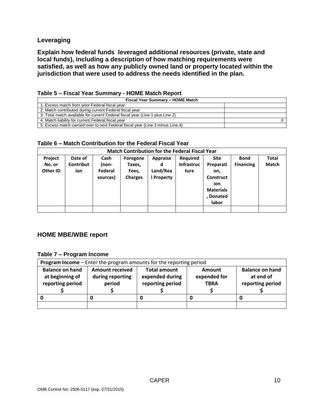#### **Leveraging**

**Explain how federal funds leveraged additional resources (private, state and local funds), including a description of how matching requirements were satisfied, as well as how any publicly owned land or property located within the jurisdiction that were used to address the needs identified in the plan.**

| Fiscal Year Summary - HOME Match                                               |  |  |  |  |  |  |  |
|--------------------------------------------------------------------------------|--|--|--|--|--|--|--|
| 1. Excess match from prior Federal fiscal year                                 |  |  |  |  |  |  |  |
| 2. Match contributed during current Federal fiscal year                        |  |  |  |  |  |  |  |
| 3. Total match available for current Federal fiscal year (Line 1 plus Line 2)  |  |  |  |  |  |  |  |
| 4. Match liability for current Federal fiscal year                             |  |  |  |  |  |  |  |
| 5. Excess match carried over to next Federal fiscal year (Line 3 minus Line 4) |  |  |  |  |  |  |  |

| Table 5 - Fiscal Year Summary - HOME Match Report |  |  |  |
|---------------------------------------------------|--|--|--|
|---------------------------------------------------|--|--|--|

#### **Table 6 – Match Contribution for the Federal Fiscal Year**

| <b>Match Contribution for the Federal Fiscal Year</b> |                             |                                      |                                               |                                                |                                       |                                                                                               |                                 |                              |  |
|-------------------------------------------------------|-----------------------------|--------------------------------------|-----------------------------------------------|------------------------------------------------|---------------------------------------|-----------------------------------------------------------------------------------------------|---------------------------------|------------------------------|--|
| Project<br>No. or<br>Other ID                         | Date of<br>Contribut<br>ion | Cash<br>(non-<br>Federal<br>sources) | Foregone<br>Taxes,<br>Fees,<br><b>Charges</b> | <b>Appraise</b><br>d<br>Land/Rea<br>l Property | <b>Required</b><br>Infrastruc<br>ture | <b>Site</b><br>Preparati<br>on,<br>Construct<br>ion<br><b>Materials</b><br>, Donated<br>labor | <b>Bond</b><br><b>Financing</b> | <b>Total</b><br><b>Match</b> |  |
|                                                       |                             |                                      |                                               |                                                |                                       |                                                                                               |                                 |                              |  |

#### **HOME MBE/WBE report**

#### **Table 7 – Program Income**

| <b>Program Income</b> – Enter the program amounts for the reporting period |                                                      |                                                            |                                       |                                                         |  |  |  |  |
|----------------------------------------------------------------------------|------------------------------------------------------|------------------------------------------------------------|---------------------------------------|---------------------------------------------------------|--|--|--|--|
| <b>Balance on hand</b><br>at beginning of<br>reporting period              | <b>Amount received</b><br>during reporting<br>period | <b>Total amount</b><br>expended during<br>reporting period | Amount<br>expended for<br><b>TBRA</b> | <b>Balance on hand</b><br>at end of<br>reporting period |  |  |  |  |
|                                                                            |                                                      |                                                            |                                       |                                                         |  |  |  |  |
|                                                                            |                                                      |                                                            |                                       |                                                         |  |  |  |  |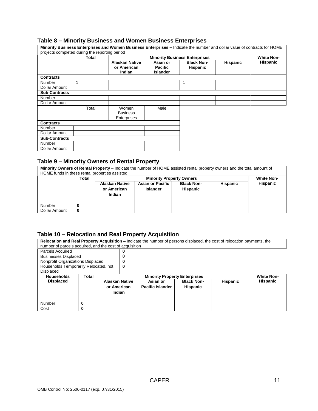#### **Table 8 – Minority Business and Women Business Enterprises**

|                      |                                                | Minority Business Enterprises and Women Business Enterprises - Indicate the number and dollar value of contracts for HOME |                                               |                                      |          |                   |
|----------------------|------------------------------------------------|---------------------------------------------------------------------------------------------------------------------------|-----------------------------------------------|--------------------------------------|----------|-------------------|
|                      | projects completed during the reporting period |                                                                                                                           |                                               |                                      |          |                   |
|                      | Total                                          |                                                                                                                           |                                               | <b>Minority Business Enterprises</b> |          | <b>White Non-</b> |
|                      |                                                | <b>Alaskan Native</b><br>or American<br>Indian                                                                            | Asian or<br><b>Pacific</b><br><b>Islander</b> | <b>Black Non-</b><br><b>Hispanic</b> | Hispanic | Hispanic          |
| <b>Contracts</b>     |                                                |                                                                                                                           |                                               |                                      |          |                   |
| Number               |                                                |                                                                                                                           |                                               |                                      |          |                   |
| Dollar Amount        |                                                |                                                                                                                           |                                               |                                      |          |                   |
| <b>Sub-Contracts</b> |                                                |                                                                                                                           |                                               |                                      |          |                   |
| Number               |                                                |                                                                                                                           |                                               |                                      |          |                   |
| Dollar Amount        |                                                |                                                                                                                           |                                               |                                      |          |                   |
|                      | Total                                          | Women<br><b>Business</b><br>Enterprises                                                                                   | Male                                          |                                      |          |                   |
| <b>Contracts</b>     |                                                |                                                                                                                           |                                               |                                      |          |                   |
| Number               |                                                |                                                                                                                           |                                               |                                      |          |                   |
| Dollar Amount        |                                                |                                                                                                                           |                                               |                                      |          |                   |
| <b>Sub-Contracts</b> |                                                |                                                                                                                           |                                               |                                      |          |                   |
| Number               |                                                |                                                                                                                           |                                               |                                      |          |                   |
| Dollar Amount        |                                                |                                                                                                                           |                                               |                                      |          |                   |

#### **Table 9 – Minority Owners of Rental Property**

**Minority Owners of Rental Property** – Indicate the number of HOME assisted rental property owners and the total amount of HOME funds in these rental properties assisted

|               | Total |                                                       | <b>White Non-</b>                          |                                      |          |          |  |
|---------------|-------|-------------------------------------------------------|--------------------------------------------|--------------------------------------|----------|----------|--|
|               |       | <b>Alaskan Native</b><br>or American<br><b>Indian</b> | <b>Asian or Pacific</b><br><b>Islander</b> | <b>Black Non-</b><br><b>Hispanic</b> | Hispanic | Hispanic |  |
| Number        |       |                                                       |                                            |                                      |          |          |  |
| Dollar Amount | 0     |                                                       |                                            |                                      |          |          |  |

#### **Table 10 – Relocation and Real Property Acquisition**

**Relocation and Real Property Acquisition –** Indicate the number of persons displaced, the cost of relocation payments, the number of parcels acquired, and the cost of acquisition

| Parcels Acquired                      |       |                       |                                                           |                         |                   |                 |                 |
|---------------------------------------|-------|-----------------------|-----------------------------------------------------------|-------------------------|-------------------|-----------------|-----------------|
| <b>Businesses Displaced</b>           |       |                       |                                                           |                         |                   |                 |                 |
| Nonprofit Organizations Displaced     |       |                       |                                                           |                         |                   |                 |                 |
| Households Temporarily Relocated, not |       | 0                     |                                                           |                         |                   |                 |                 |
| Displaced                             |       |                       |                                                           |                         |                   |                 |                 |
| <b>Households</b>                     | Total |                       | <b>White Non-</b><br><b>Minority Property Enterprises</b> |                         |                   |                 |                 |
| <b>Displaced</b>                      |       | <b>Alaskan Native</b> |                                                           | Asian or                | <b>Black Non-</b> | <b>Hispanic</b> | <b>Hispanic</b> |
|                                       |       | or American           |                                                           | <b>Pacific Islander</b> | <b>Hispanic</b>   |                 |                 |
|                                       |       | <b>Indian</b>         |                                                           |                         |                   |                 |                 |
|                                       |       |                       |                                                           |                         |                   |                 |                 |
| Number                                |       |                       |                                                           |                         |                   |                 |                 |
| Cost                                  | 0     |                       |                                                           |                         |                   |                 |                 |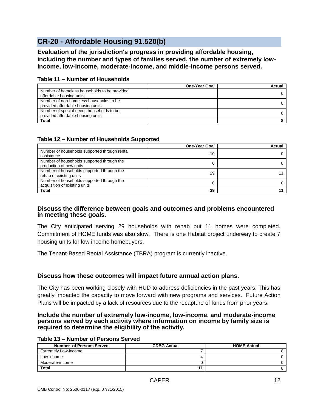# <span id="page-11-0"></span>**CR-20 - Affordable Housing 91.520(b)**

**Evaluation of the jurisdiction's progress in providing affordable housing, including the number and types of families served, the number of extremely lowincome, low-income, moderate-income, and middle-income persons served.**

|                                              | <b>One-Year Goal</b> | Actual |
|----------------------------------------------|----------------------|--------|
| Number of homeless households to be provided |                      |        |
| affordable housing units                     |                      |        |
| Number of non-homeless households to be      |                      |        |
| provided affordable housing units            |                      |        |
| Number of special-needs households to be     |                      |        |
| provided affordable housing units            |                      |        |
| <b>Total</b>                                 |                      |        |

#### **Table 11 – Number of Households**

#### **Table 12 – Number of Households Supported**

|                                                                             | <b>One-Year Goal</b> | Actual |
|-----------------------------------------------------------------------------|----------------------|--------|
| Number of households supported through rental<br>assistance                 | 10                   |        |
| Number of households supported through the<br>production of new units       |                      |        |
| Number of households supported through the<br>rehab of existing units       | 29                   |        |
| Number of households supported through the<br>acquisition of existing units |                      |        |
| Total                                                                       | 39                   |        |

#### **Discuss the difference between goals and outcomes and problems encountered in meeting these goals**.

The City anticipated serving 29 households with rehab but 11 homes were completed. Commitment of HOME funds was also slow. There is one Habitat project underway to create 7 housing units for low income homebuyers.

The Tenant-Based Rental Assistance (TBRA) program is currently inactive.

#### **Discuss how these outcomes will impact future annual action plans**.

The City has been working closely with HUD to address deficiencies in the past years. This has greatly impacted the capacity to move forward with new programs and services. Future Action Plans will be impacted by a lack of resources due to the recapture of funds from prior years.

#### **Include the number of extremely low-income, low-income, and moderate-income persons served by each activity where information on income by family size is required to determine the eligibility of the activity.**

#### **Table 13 – Number of Persons Served**

| <b>Number of Persons Served</b> | <b>CDBG Actual</b> | <b>HOME Actual</b> |
|---------------------------------|--------------------|--------------------|
| Extremely Low-income            |                    |                    |
| Low-income                      |                    |                    |
| Moderate-income                 |                    |                    |
| <b>Total</b>                    |                    |                    |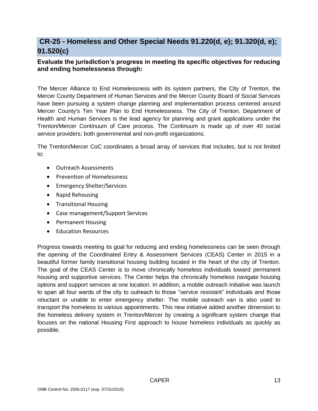# <span id="page-12-0"></span>**CR-25 - Homeless and Other Special Needs 91.220(d, e); 91.320(d, e); 91.520(c)**

## **Evaluate the jurisdiction's progress in meeting its specific objectives for reducing and ending homelessness through:**

The Mercer Alliance to End Homelessness with its system partners, the City of Trenton, the Mercer County Department of Human Services and the Mercer County Board of Social Services have been pursuing a system change planning and implementation process centered around Mercer County's Ten Year Plan to End Homelessness. The City of Trenton, Department of Health and Human Services is the lead agency for planning and grant applications under the Trenton/Mercer Continuum of Care process. The Continuum is made up of over 40 social service providers; both governmental and non-profit organizations.

The Trenton/Mercer CoC coordinates a broad array of services that includes, but is not limited to:

- Outreach Assessments
- Prevention of Homelessness
- Emergency Shelter/Services
- Rapid Rehousing
- Transitional Housing
- Case management/Support Services
- Permanent Housing
- Education Resources

Progress towards meeting its goal for reducing and ending homelessness can be seen through the opening of the Coordinated Entry & Assessment Services (CEAS) Center in 2015 in a beautiful former family transitional housing building located in the heart of the city of Trenton. The goal of the CEAS Center is to move chronically homeless individuals toward permanent housing and supportive services. The Center helps the chronically homeless navigate housing options and support services at one location. In addition, a mobile outreach initiative was launch to span all four wards of the city to outreach to those "service resistant" individuals and those reluctant or unable to enter emergency shelter. The mobile outreach van is also used to transport the homeless to various appointments. This new initiative added another dimension to the homeless delivery system in Trenton/Mercer by creating a significant system change that focuses on the national Housing First approach to house homeless individuals as quickly as possible.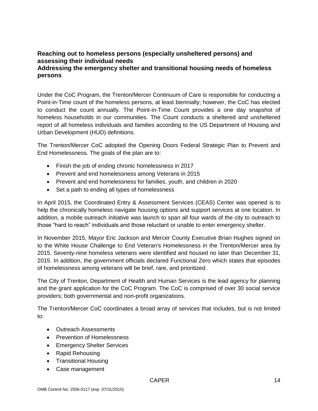## **Reaching out to homeless persons (especially unsheltered persons) and assessing their individual needs Addressing the emergency shelter and transitional housing needs of homeless persons**

Under the CoC Program, the Trenton/Mercer Continuum of Care is responsible for conducting a Point-in-Time count of the homeless persons, at least biennially; however, the CoC has elected to conduct the count annually. The Point-in-Time Count provides a one day snapshot of homeless households in our communities. The Count conducts a sheltered and unsheltered report of all homeless individuals and families according to the US Department of Housing and Urban Development (HUD) definitions.

The Trenton/Mercer CoC adopted the Opening Doors Federal Strategic Plan to Prevent and End Homelessness. The goals of the plan are to:

- Finish the job of ending chronic homelessness in 2017
- Prevent and end homelessness among Veterans in 2015
- Prevent and end homelessness for families, youth, and children in 2020
- Set a path to ending all types of homelessness

In April 2015, the Coordinated Entry & Assessment Services (CEAS) Center was opened is to help the chronically homeless navigate housing options and support services at one location. In addition, a mobile outreach initiative was launch to span all four wards of the city to outreach to those "hard to reach" individuals and those reluctant or unable to enter emergency shelter.

In November 2015, Mayor Eric Jackson and Mercer County Executive Brian Hughes signed on to the White House Challenge to End Veteran's Homelessness in the Trenton/Mercer area by 2015. Seventy-nine homeless veterans were identified and housed no later than December 31, 2015. In addition, the government officials declared Functional Zero which states that episodes of homelessness among veterans will be brief, rare, and prioritized.

The City of Trenton, Department of Health and Human Services is the lead agency for planning and the grant application for the CoC Program. The CoC is comprised of over 30 social service providers; both governmental and non-profit organizations.

The Trenton/Mercer CoC coordinates a broad array of services that includes, but is not limited to:

- Outreach Assessments
- Prevention of Homelessness
- **•** Emergency Shelter Services
- Rapid Rehousing
- Transitional Housing
- Case management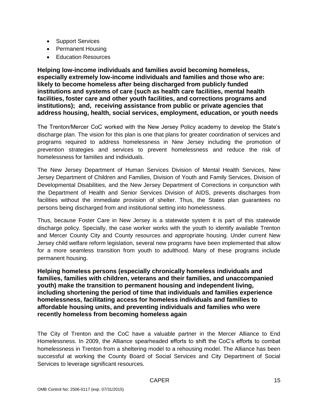- Support Services
- Permanent Housing
- Education Resources

**Helping low-income individuals and families avoid becoming homeless, especially extremely low-income individuals and families and those who are: likely to become homeless after being discharged from publicly funded institutions and systems of care (such as health care facilities, mental health facilities, foster care and other youth facilities, and corrections programs and institutions); and, receiving assistance from public or private agencies that address housing, health, social services, employment, education, or youth needs**

The Trenton/Mercer CoC worked with the New Jersey Policy academy to develop the State's discharge plan. The vision for this plan is one that plans for greater coordination of services and programs required to address homelessness in New Jersey including the promotion of prevention strategies and services to prevent homelessness and reduce the risk of homelessness for families and individuals.

The New Jersey Department of Human Services Division of Mental Health Services, New Jersey Department of Children and Families, Division of Youth and Family Services, Division of Developmental Disabilities, and the New Jersey Department of Corrections in conjunction with the Department of Health and Senior Services Division of AIDS, prevents discharges from facilities without the immediate provision of shelter. Thus, the States plan guarantees no persons being discharged from and institutional setting into homelessness.

Thus, because Foster Care in New Jersey is a statewide system it is part of this statewide discharge policy. Specially, the case worker works with the youth to identify available Trenton and Mercer County City and County resources and appropriate housing. Under current New Jersey child welfare reform legislation, several new programs have been implemented that allow for a more seamless transition from youth to adulthood. Many of these programs include permanent housing.

**Helping homeless persons (especially chronically homeless individuals and families, families with children, veterans and their families, and unaccompanied youth) make the transition to permanent housing and independent living, including shortening the period of time that individuals and families experience homelessness, facilitating access for homeless individuals and families to affordable housing units, and preventing individuals and families who were recently homeless from becoming homeless again**

The City of Trenton and the CoC have a valuable partner in the Mercer Alliance to End Homelessness. In 2009, the Alliance spearheaded efforts to shift the CoC's efforts to combat homelessness in Trenton from a sheltering model to a rehousing model. The Alliance has been successful at working the County Board of Social Services and City Department of Social Services to leverage significant resources.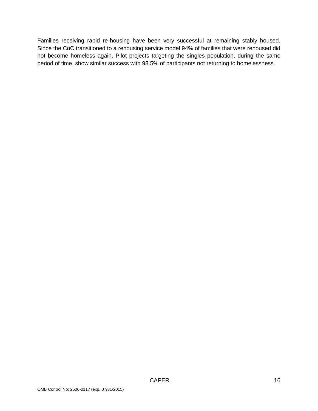Families receiving rapid re-housing have been very successful at remaining stably housed. Since the CoC transitioned to a rehousing service model 94% of families that were rehoused did not become homeless again. Pilot projects targeting the singles population, during the same period of time, show similar success with 98.5% of participants not returning to homelessness.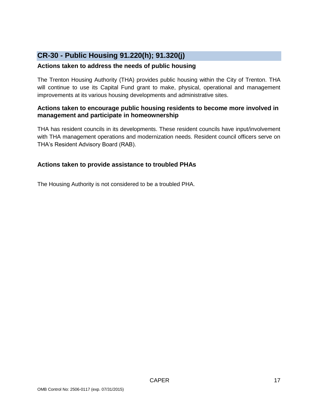# <span id="page-16-0"></span>**CR-30 - Public Housing 91.220(h); 91.320(j)**

#### **Actions taken to address the needs of public housing**

The Trenton Housing Authority (THA) provides public housing within the City of Trenton. THA will continue to use its Capital Fund grant to make, physical, operational and management improvements at its various housing developments and administrative sites.

#### **Actions taken to encourage public housing residents to become more involved in management and participate in homeownership**

THA has resident councils in its developments. These resident councils have input/involvement with THA management operations and modernization needs. Resident council officers serve on THA's Resident Advisory Board (RAB).

## **Actions taken to provide assistance to troubled PHAs**

The Housing Authority is not considered to be a troubled PHA.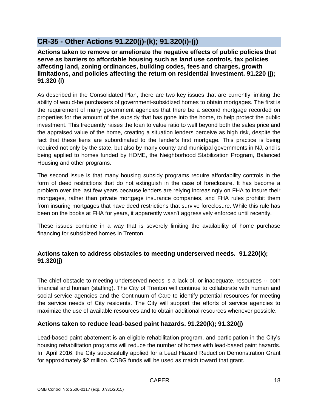# <span id="page-17-0"></span>**CR-35 - Other Actions 91.220(j)-(k); 91.320(i)-(j)**

**Actions taken to remove or ameliorate the negative effects of public policies that serve as barriers to affordable housing such as land use controls, tax policies affecting land, zoning ordinances, building codes, fees and charges, growth limitations, and policies affecting the return on residential investment. 91.220 (j); 91.320 (i)**

As described in the Consolidated Plan, there are two key issues that are currently limiting the ability of would-be purchasers of government-subsidized homes to obtain mortgages. The first is the requirement of many government agencies that there be a second mortgage recorded on properties for the amount of the subsidy that has gone into the home, to help protect the public investment. This frequently raises the loan to value ratio to well beyond both the sales price and the appraised value of the home, creating a situation lenders perceive as high risk, despite the fact that these liens are subordinated to the lender's first mortgage. This practice is being required not only by the state, but also by many county and municipal governments in NJ, and is being applied to homes funded by HOME, the Neighborhood Stabilization Program, Balanced Housing and other programs.

The second issue is that many housing subsidy programs require affordability controls in the form of deed restrictions that do not extinguish in the case of foreclosure. It has become a problem over the last few years because lenders are relying increasingly on FHA to insure their mortgages, rather than private mortgage insurance companies, and FHA rules prohibit them from insuring mortgages that have deed restrictions that survive foreclosure. While this rule has been on the books at FHA for years, it apparently wasn't aggressively enforced until recently.

These issues combine in a way that is severely limiting the availability of home purchase financing for subsidized homes in Trenton.

# **Actions taken to address obstacles to meeting underserved needs. 91.220(k); 91.320(j)**

The chief obstacle to meeting underserved needs is a lack of, or inadequate, resources -- both financial and human (staffing). The City of Trenton will continue to collaborate with human and social service agencies and the Continuum of Care to identify potential resources for meeting the service needs of City residents. The City will support the efforts of service agencies to maximize the use of available resources and to obtain additional resources whenever possible.

## **Actions taken to reduce lead-based paint hazards. 91.220(k); 91.320(j)**

Lead-based paint abatement is an eligible rehabilitation program, and participation in the City's housing rehabilitation programs will reduce the number of homes with lead-based paint hazards. In April 2016, the City successfully applied for a Lead Hazard Reduction Demonstration Grant for approximately \$2 million. CDBG funds will be used as match toward that grant.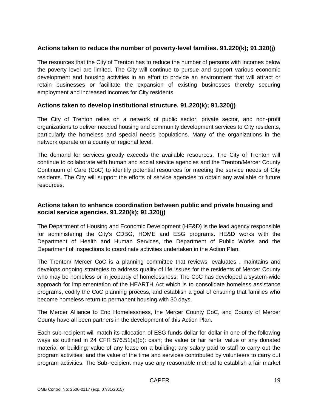## **Actions taken to reduce the number of poverty-level families. 91.220(k); 91.320(j)**

The resources that the City of Trenton has to reduce the number of persons with incomes below the poverty level are limited. The City will continue to pursue and support various economic development and housing activities in an effort to provide an environment that will attract or retain businesses or facilitate the expansion of existing businesses thereby securing employment and increased incomes for City residents.

#### **Actions taken to develop institutional structure. 91.220(k); 91.320(j)**

The City of Trenton relies on a network of public sector, private sector, and non-profit organizations to deliver needed housing and community development services to City residents, particularly the homeless and special needs populations. Many of the organizations in the network operate on a county or regional level.

The demand for services greatly exceeds the available resources. The City of Trenton will continue to collaborate with human and social service agencies and the Trenton/Mercer County Continuum of Care (CoC) to identify potential resources for meeting the service needs of City residents. The City will support the efforts of service agencies to obtain any available or future resources.

#### **Actions taken to enhance coordination between public and private housing and social service agencies. 91.220(k); 91.320(j)**

The Department of Housing and Economic Development (HE&D) is the lead agency responsible for administering the City's CDBG, HOME and ESG programs. HE&D works with the Department of Health and Human Services, the Department of Public Works and the Department of Inspections to coordinate activities undertaken in the Action Plan.

The Trenton/ Mercer CoC is a planning committee that reviews, evaluates , maintains and develops ongoing strategies to address quality of life issues for the residents of Mercer County who may be homeless or in jeopardy of homelessness. The CoC has developed a system-wide approach for implementation of the HEARTH Act which is to consolidate homeless assistance programs, codify the CoC planning process, and establish a goal of ensuring that families who become homeless return to permanent housing with 30 days.

The Mercer Alliance to End Homelessness, the Mercer County CoC, and County of Mercer County have all been partners in the development of this Action Plan.

Each sub-recipient will match its allocation of ESG funds dollar for dollar in one of the following ways as outlined in 24 CFR 576.51(a)(b): cash; the value or fair rental value of any donated material or building; value of any lease on a building; any salary paid to staff to carry out the program activities; and the value of the time and services contributed by volunteers to carry out program activities. The Sub-recipient may use any reasonable method to establish a fair market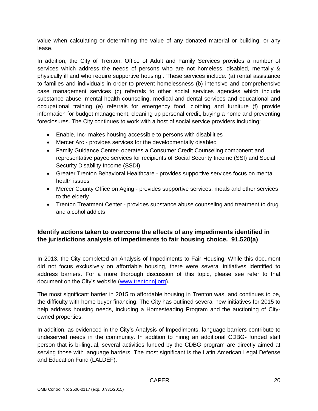value when calculating or determining the value of any donated material or building, or any lease.

In addition, the City of Trenton, Office of Adult and Family Services provides a number of services which address the needs of persons who are not homeless, disabled, mentally & physically ill and who require supportive housing . These services include: (a) rental assistance to families and individuals in order to prevent homelessness (b) intensive and comprehensive case management services (c) referrals to other social services agencies which include substance abuse, mental health counseling, medical and dental services and educational and occupational training (e) referrals for emergency food, clothing and furniture (f) provide information for budget management, cleaning up personal credit, buying a home and preventing foreclosures. The City continues to work with a host of social service providers including:

- Enable, Inc- makes housing accessible to persons with disabilities
- Mercer Arc provides services for the developmentally disabled
- Family Guidance Center- operates a Consumer Credit Counseling component and representative payee services for recipients of Social Security Income (SSI) and Social Security Disability Income (SSDI)
- Greater Trenton Behavioral Healthcare provides supportive services focus on mental health issues
- Mercer County Office on Aging provides supportive services, meals and other services to the elderly
- Trenton Treatment Center provides substance abuse counseling and treatment to drug and alcohol addicts

## **Identify actions taken to overcome the effects of any impediments identified in the jurisdictions analysis of impediments to fair housing choice. 91.520(a)**

In 2013, the City completed an Analysis of Impediments to Fair Housing. While this document did not focus exclusively on affordable housing, there were several initiatives identified to address barriers. For a more thorough discussion of this topic, please see refer to that document on the City's website [\(www.trentonnj.org\)](http://www.trentonnj.org/).

The most significant barrier in 2015 to affordable housing in Trenton was, and continues to be, the difficulty with home buyer financing. The City has outlined several new initiatives for 2015 to help address housing needs, including a Homesteading Program and the auctioning of Cityowned properties.

In addition, as evidenced in the City's Analysis of Impediments, language barriers contribute to undeserved needs in the community. In addition to hiring an additional CDBG- funded staff person that is bi-lingual, several activities funded by the CDBG program are directly aimed at serving those with language barriers. The most significant is the Latin American Legal Defense and Education Fund (LALDEF).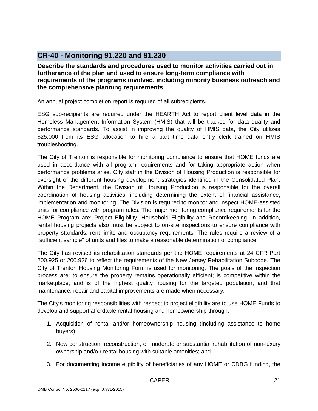# <span id="page-20-0"></span>**CR-40 - Monitoring 91.220 and 91.230**

**Describe the standards and procedures used to monitor activities carried out in furtherance of the plan and used to ensure long-term compliance with requirements of the programs involved, including minority business outreach and the comprehensive planning requirements**

An annual project completion report is required of all subrecipients.

ESG sub-recipients are required under the HEARTH Act to report client level data in the Homeless Management Information System (HMIS) that will be tracked for data quality and performance standards. To assist in improving the quality of HMIS data, the City utilizes \$25,000 from its ESG allocation to hire a part time data entry clerk trained on HMIS troubleshooting.

The City of Trenton is responsible for monitoring compliance to ensure that HOME funds are used in accordance with all program requirements and for taking appropriate action when performance problems arise. City staff in the Division of Housing Production is responsible for oversight of the different housing development strategies identified in the Consolidated Plan. Within the Department, the Division of Housing Production is responsible for the overall coordination of housing activities, including determining the extent of financial assistance, implementation and monitoring. The Division is required to monitor and inspect HOME-assisted units for compliance with program rules. The major monitoring compliance requirements for the HOME Program are: Project Eligibility, Household Eligibility and Recordkeeping. In addition, rental housing projects also must be subject to on-site inspections to ensure compliance with property standards, rent limits and occupancy requirements. The rules require a review of a "sufficient sample" of units and files to make a reasonable determination of compliance.

The City has revised its rehabilitation standards per the HOME requirements at 24 CFR Part 200.925 or 200.926 to reflect the requirements of the New Jersey Rehabilitation Subcode. The City of Trenton Housing Monitoring Form is used for monitoring. The goals of the inspection process are: to ensure the property remains operationally efficient; is competitive within the marketplace; and is of the highest quality housing for the targeted population, and that maintenance, repair and capital improvements are made when necessary.

The City's monitoring responsibilities with respect to project eligibility are to use HOME Funds to develop and support affordable rental housing and homeownership through:

- 1. Acquisition of rental and/or homeownership housing (including assistance to home buyers);
- 2. New construction, reconstruction, or moderate or substantial rehabilitation of non-luxury ownership and/o r rental housing with suitable amenities; and
- 3. For documenting income eligibility of beneficiaries of any HOME or CDBG funding, the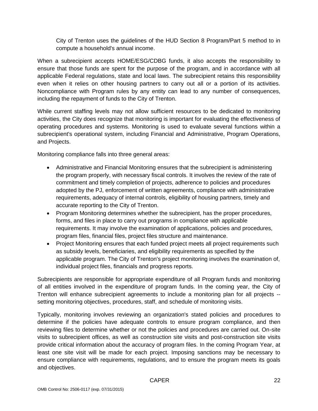City of Trenton uses the guidelines of the HUD Section 8 Program/Part 5 method to in compute a household's annual income.

When a subrecipient accepts HOME/ESG/CDBG funds, it also accepts the responsibility to ensure that those funds are spent for the purpose of the program, and in accordance with all applicable Federal regulations, state and local laws. The subrecipient retains this responsibility even when it relies on other housing partners to carry out all or a portion of its activities. Noncompliance with Program rules by any entity can lead to any number of consequences, including the repayment of funds to the City of Trenton.

While current staffing levels may not allow sufficient resources to be dedicated to monitoring activities, the City does recognize that monitoring is important for evaluating the effectiveness of operating procedures and systems. Monitoring is used to evaluate several functions within a subrecipient's operational system, including Financial and Administrative, Program Operations, and Projects.

Monitoring compliance falls into three general areas:

- Administrative and Financial Monitoring ensures that the subrecipient is administering the program properly, with necessary fiscal controls. It involves the review of the rate of commitment and timely completion of projects, adherence to policies and procedures adopted by the PJ, enforcement of written agreements, compliance with administrative requirements, adequacy of internal controls, eligibility of housing partners, timely and accurate reporting to the City of Trenton.
- Program Monitoring determines whether the subrecipient, has the proper procedures, forms, and files in place to carry out programs in compliance with applicable requirements. It may involve the examination of applications, policies and procedures, program files, financial files, project files structure and maintenance.
- Project Monitoring ensures that each funded project meets all project requirements such as subsidy levels, beneficiaries, and eligibility requirements as specified by the applicable program. The City of Trenton's project monitoring involves the examination of, individual project files, financials and progress reports.

Subrecipients are responsible for appropriate expenditure of all Program funds and monitoring of all entities involved in the expenditure of program funds. In the coming year, the City of Trenton will enhance subrecipient agreements to include a monitoring plan for all projects - setting monitoring objectives, procedures, staff, and schedule of monitoring visits.

Typically, monitoring involves reviewing an organization's stated policies and procedures to determine if the policies have adequate controls to ensure program compliance, and then reviewing files to determine whether or not the policies and procedures are carried out. On-site visits to subrecipient offices, as well as construction site visits and post-construction site visits provide critical information about the accuracy of program files. In the coming Program Year, at least one site visit will be made for each project. Imposing sanctions may be necessary to ensure compliance with requirements, regulations, and to ensure the program meets its goals and objectives.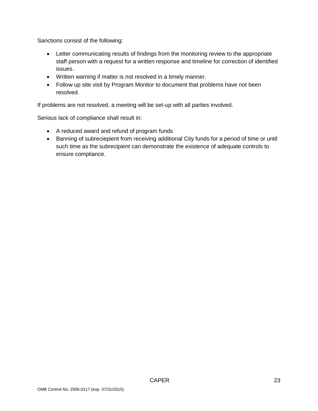Sanctions consist of the following:

- Letter communicating results of findings from the monitoring review to the appropriate staff person with a request for a written response and timeline for correction of identified issues.
- Written warning if matter is not resolved in a timely manner.
- Follow up site visit by Program Monitor to document that problems have not been resolved.

If problems are not resolved, a meeting will be set-up with all parties involved.

Serious lack of compliance shall result in:

- A reduced award and refund of program funds
- Banning of subreciepient from receiving additional City funds for a period of time or until such time as the subrecipient can demonstrate the existence of adequate controls to ensure compliance.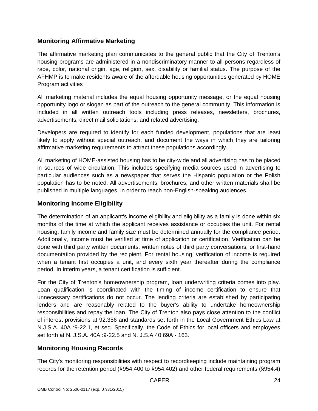## **Monitoring Affirmative Marketing**

The affirmative marketing plan communicates to the general public that the City of Trenton's housing programs are administered in a nondiscriminatory manner to all persons regardless of race, color, national origin, age, religion, sex, disability or familial status. The purpose of the AFHMP is to make residents aware of the affordable housing opportunities generated by HOME Program activities

All marketing material includes the equal housing opportunity message, or the equal housing opportunity logo or slogan as part of the outreach to the general community. This information is included in all written outreach tools including press releases, newsletters, brochures, advertisements, direct mail solicitations, and related advertising.

Developers are required to identify for each funded development, populations that are least likely to apply without special outreach, and document the ways in which they are tailoring affirmative marketing requirements to attract these populations accordingly.

All marketing of HOME-assisted housing has to be city-wide and all advertising has to be placed in sources of wide circulation. This includes specifying media sources used in advertising to particular audiences such as a newspaper that serves the Hispanic population or the Polish population has to be noted. All advertisements, brochures, and other written materials shall be published in multiple languages, in order to reach non-English-speaking audiences.

## **Monitoring Income Eligibility**

The determination of an applicant's income eligibility and eligibility as a family is done within six months of the time at which the applicant receives assistance or occupies the unit. For rental housing, family income and family size must be determined annually for the compliance period. Additionally, income must be verified at time of application or certification. Verification can be done with third party written documents, written notes of third party conversations, or first-hand documentation provided by the recipient. For rental housing, verification of income is required when a tenant first occupies a unit, and every sixth year thereafter during the compliance period. In interim years, a tenant certification is sufficient.

For the City of Trenton's homeownership program, loan underwriting criteria comes into play. Loan qualification is coordinated with the timing of income certification to ensure that unnecessary certifications do not occur. The lending criteria are established by participating lenders and are reasonably related to the buyer's ability to undertake homeownership responsibilities and repay the loan. The City of Trenton also pays close attention to the conflict of interest provisions at 92.356 and standards set forth in the Local Government Ethics Law at N.J.S.A. 40A :9-22.1, et seq. Specifically, the Code of Ethics for local officers and employees set forth at N. J.S.A. 40A :9-22.5 and N. J.S.A 40:69A - 163.

## **Monitoring Housing Records**

The City's monitoring responsibilities with respect to recordkeeping include maintaining program records for the retention period (§954.400 to §954.402) and other federal requirements (§954.4)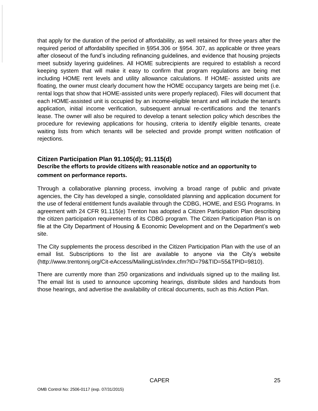that apply for the duration of the period of affordability, as well retained for three years after the required period of affordability specified in §954.306 or §954. 307, as applicable or three years after closeout of the fund's including refinancing guidelines, and evidence that housing projects meet subsidy layering guidelines. All HOME subrecipients are required to establish a record keeping system that will make it easy to confirm that program regulations are being met including HOME rent levels and utility allowance calculations. If HOME- assisted units are floating, the owner must clearly document how the HOME occupancy targets are being met (i.e. rental logs that show that HOME-assisted units were properly replaced). Files will document that each HOME-assisted unit is occupied by an income-eligible tenant and will include the tenant's application, initial income verification, subsequent annual re-certifications and the tenant's lease. The owner will also be required to develop a tenant selection policy which describes the procedure for reviewing applications for housing, criteria to identify eligible tenants, create waiting lists from which tenants will be selected and provide prompt written notification of rejections.

## **Citizen Participation Plan 91.105(d); 91.115(d) Describe the efforts to provide citizens with reasonable notice and an opportunity to comment on performance reports.**

Through a collaborative planning process, involving a broad range of public and private agencies, the City has developed a single, consolidated planning and application document for the use of federal entitlement funds available through the CDBG, HOME, and ESG Programs. In agreement with 24 CFR 91.115(e) Trenton has adopted a Citizen Participation Plan describing the citizen participation requirements of its CDBG program. The Citizen Participation Plan is on file at the City Department of Housing & Economic Development and on the Department's web site.

The City supplements the process described in the Citizen Participation Plan with the use of an email list. Subscriptions to the list are available to anyone via the City's website [\(http://www.trentonnj.org/Cit-eAccess/MailingList/index.cfm?ID=79&TID=55&TPID=9810\)](http://www.trentonnj.org/Cit-eAccess/MailingList/index.cfm?ID=79&TID=55&TPID=9810).

There are currently more than 250 organizations and individuals signed up to the mailing list. The email list is used to announce upcoming hearings, distribute slides and handouts from those hearings, and advertise the availability of critical documents, such as this Action Plan.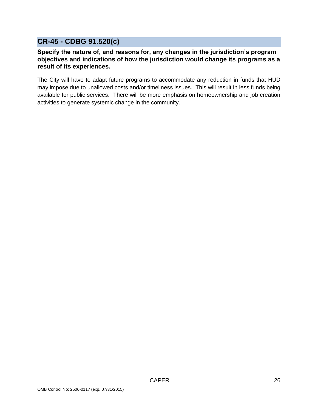# <span id="page-25-0"></span>**CR-45 - CDBG 91.520(c)**

## **Specify the nature of, and reasons for, any changes in the jurisdiction's program objectives and indications of how the jurisdiction would change its programs as a result of its experiences.**

The City will have to adapt future programs to accommodate any reduction in funds that HUD may impose due to unallowed costs and/or timeliness issues. This will result in less funds being available for public services. There will be more emphasis on homeownership and job creation activities to generate systemic change in the community.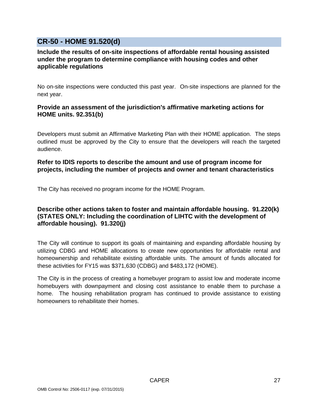# <span id="page-26-0"></span>**CR-50 - HOME 91.520(d)**

#### **Include the results of on-site inspections of affordable rental housing assisted under the program to determine compliance with housing codes and other applicable regulations**

No on-site inspections were conducted this past year. On-site inspections are planned for the next year.

#### **Provide an assessment of the jurisdiction's affirmative marketing actions for HOME units. 92.351(b)**

Developers must submit an Affirmative Marketing Plan with their HOME application. The steps outlined must be approved by the City to ensure that the developers will reach the targeted audience.

#### **Refer to IDIS reports to describe the amount and use of program income for projects, including the number of projects and owner and tenant characteristics**

The City has received no program income for the HOME Program.

#### **Describe other actions taken to foster and maintain affordable housing. 91.220(k) (STATES ONLY: Including the coordination of LIHTC with the development of affordable housing). 91.320(j)**

The City will continue to support its goals of maintaining and expanding affordable housing by utilizing CDBG and HOME allocations to create new opportunities for affordable rental and homeownership and rehabilitate existing affordable units. The amount of funds allocated for these activities for FY15 was \$371,630 (CDBG) and \$483,172 (HOME).

The City is in the process of creating a homebuyer program to assist low and moderate income homebuyers with downpayment and closing cost assistance to enable them to purchase a home. The housing rehabilitation program has continued to provide assistance to existing homeowners to rehabilitate their homes.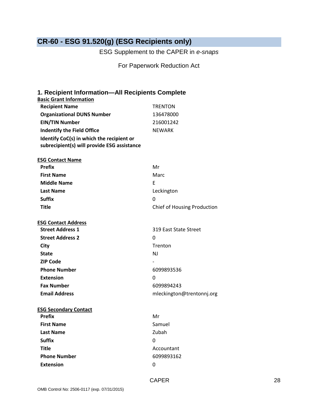# <span id="page-27-0"></span>**CR-60 - ESG 91.520(g) (ESG Recipients only)**

ESG Supplement to the CAPER in *e-snaps*

For Paperwork Reduction Act

# **1. Recipient Information—All Recipients Complete Basic Grant Information Recipient Name** TRENTON **Organizational DUNS Number** 136478000 **EIN/TIN Number** 216001242 **Indentify the Field Office** NEWARK **Identify CoC(s) in which the recipient or subrecipient(s) will provide ESG assistance ESG Contact Name Prefix** Mr **First Name** Marc **Middle Name** E Last Name **Leckington Suffix** 0 **Title** Chief of Housing Production **ESG Contact Address Street Address 1** 319 East State Street **Street Address 2** 0 **City** Trenton **State** NJ **ZIP Code Phone Number** 6099893536 **Extension** 0 **Fax Number** 6099894243 Email Address **Email Address** mleckington@trentonnj.org **ESG Secondary Contact Prefix** Mr **First Name** Samuel Last Name **Last Name Zubah Suffix** 0 **Title** Accountant **Phone Number** 6099893162 **Extension** 0

CAPER 28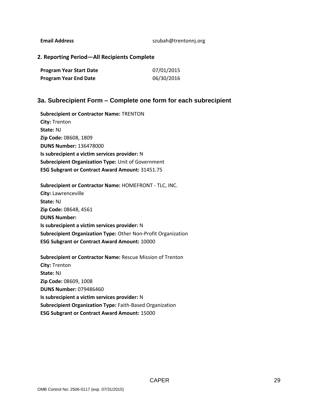Email Address and a state of the same same same szubah@trentonnj.org

**2. Reporting Period—All Recipients Complete** 

| <b>Program Year Start Date</b> | 07/01/2015 |
|--------------------------------|------------|
| <b>Program Year End Date</b>   | 06/30/2016 |

#### **3a. Subrecipient Form – Complete one form for each subrecipient**

**Subrecipient or Contractor Name:** TRENTON **City:** Trenton **State:** NJ **Zip Code:** 08608, 1809 **DUNS Number:** 136478000 **Is subrecipient a victim services provider:** N **Subrecipient Organization Type:** Unit of Government **ESG Subgrant or Contract Award Amount:** 31451.75

**Subrecipient or Contractor Name:** HOMEFRONT - TLC, INC. **City:** Lawrenceville **State:** NJ **Zip Code:** 08648, 4561 **DUNS Number: Is subrecipient a victim services provider:** N **Subrecipient Organization Type:** Other Non-Profit Organization **ESG Subgrant or Contract Award Amount:** 10000

**Subrecipient or Contractor Name:** Rescue Mission of Trenton **City:** Trenton **State:** NJ **Zip Code:** 08609, 1008 **DUNS Number:** 079486460 **Is subrecipient a victim services provider:** N **Subrecipient Organization Type:** Faith-Based Organization **ESG Subgrant or Contract Award Amount:** 15000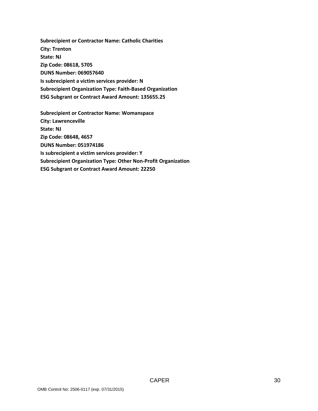**Subrecipient or Contractor Name: Catholic Charities City: Trenton State: NJ Zip Code: 08618, 5705 DUNS Number: 069057640 Is subrecipient a victim services provider: N Subrecipient Organization Type: Faith-Based Organization ESG Subgrant or Contract Award Amount: 135655.25**

**Subrecipient or Contractor Name: Womanspace City: Lawrenceville State: NJ Zip Code: 08648, 4657 DUNS Number: 051974186 Is subrecipient a victim services provider: Y Subrecipient Organization Type: Other Non-Profit Organization ESG Subgrant or Contract Award Amount: 22250**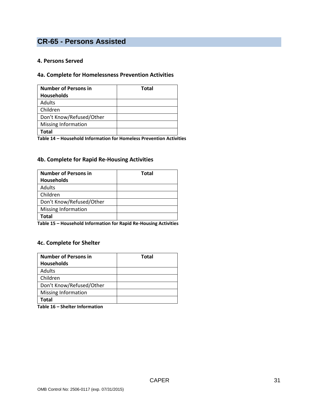# <span id="page-30-0"></span>**CR-65 - Persons Assisted**

#### **4. Persons Served**

#### **4a. Complete for Homelessness Prevention Activities**

| <b>Number of Persons in</b> | <b>Total</b> |
|-----------------------------|--------------|
| <b>Households</b>           |              |
| Adults                      |              |
| Children                    |              |
| Don't Know/Refused/Other    |              |
| Missing Information         |              |
| Total                       |              |

**Table 14 – Household Information for Homeless Prevention Activities**

#### **4b. Complete for Rapid Re-Housing Activities**

| <b>Number of Persons in</b> | <b>Total</b> |
|-----------------------------|--------------|
| <b>Households</b>           |              |
| Adults                      |              |
| Children                    |              |
| Don't Know/Refused/Other    |              |
| Missing Information         |              |
| Total                       |              |

**Table 15 – Household Information for Rapid Re-Housing Activities**

#### **4c. Complete for Shelter**

| <b>Total</b> |
|--------------|
|              |
|              |
|              |
|              |
|              |
|              |
|              |

**Table 16 – Shelter Information**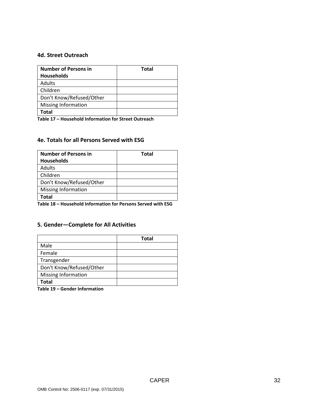#### **4d. Street Outreach**

| <b>Number of Persons in</b> | <b>Total</b> |
|-----------------------------|--------------|
| <b>Households</b>           |              |
| Adults                      |              |
| Children                    |              |
| Don't Know/Refused/Other    |              |
| Missing Information         |              |
| Total                       |              |

**Table 17 – Household Information for Street Outreach**

#### **4e. Totals for all Persons Served with ESG**

| <b>Number of Persons in</b> | Total |
|-----------------------------|-------|
| <b>Households</b>           |       |
| <b>Adults</b>               |       |
| Children                    |       |
| Don't Know/Refused/Other    |       |
| Missing Information         |       |
| Total                       |       |

**Table 18 – Household Information for Persons Served with ESG**

#### **5. Gender—Complete for All Activities**

|                            | <b>Total</b> |
|----------------------------|--------------|
| Male                       |              |
| Female                     |              |
| Transgender                |              |
| Don't Know/Refused/Other   |              |
| <b>Missing Information</b> |              |
| Total                      |              |

**Table 19 – Gender Information**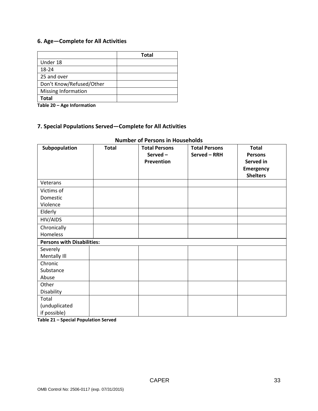## **6. Age—Complete for All Activities**

|                          | <b>Total</b> |
|--------------------------|--------------|
| Under 18                 |              |
| 18-24                    |              |
| 25 and over              |              |
| Don't Know/Refused/Other |              |
| Missing Information      |              |
| Total                    |              |

**Table 20 – Age Information**

## **7. Special Populations Served—Complete for All Activities**

| Subpopulation                     | <b>Total</b> | <b>Total Persons</b> | <b>Total Persons</b> | <b>Total</b>     |  |
|-----------------------------------|--------------|----------------------|----------------------|------------------|--|
|                                   |              | Served-              | Served - RRH         | <b>Persons</b>   |  |
|                                   |              | <b>Prevention</b>    |                      | Served in        |  |
|                                   |              |                      |                      | <b>Emergency</b> |  |
|                                   |              |                      |                      | <b>Shelters</b>  |  |
| Veterans                          |              |                      |                      |                  |  |
| Victims of                        |              |                      |                      |                  |  |
| Domestic                          |              |                      |                      |                  |  |
| Violence                          |              |                      |                      |                  |  |
| Elderly                           |              |                      |                      |                  |  |
| HIV/AIDS                          |              |                      |                      |                  |  |
| Chronically                       |              |                      |                      |                  |  |
| Homeless                          |              |                      |                      |                  |  |
| <b>Persons with Disabilities:</b> |              |                      |                      |                  |  |
| Severely                          |              |                      |                      |                  |  |
| Mentally III                      |              |                      |                      |                  |  |
| Chronic                           |              |                      |                      |                  |  |
| Substance                         |              |                      |                      |                  |  |
| Abuse                             |              |                      |                      |                  |  |
| Other                             |              |                      |                      |                  |  |
| Disability                        |              |                      |                      |                  |  |
| Total                             |              |                      |                      |                  |  |
| (unduplicated                     |              |                      |                      |                  |  |
| if possible)                      |              |                      |                      |                  |  |

## **Number of Persons in Households**

**Table 21 – Special Population Served**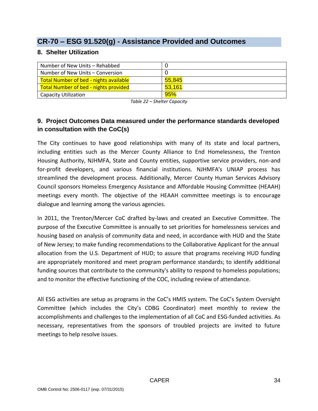# <span id="page-33-0"></span>**CR-70 – ESG 91.520(g) - Assistance Provided and Outcomes**

## **8. Shelter Utilization**

| Number of New Units - Rehabbed                |        |
|-----------------------------------------------|--------|
| Number of New Units – Conversion              |        |
| <b>Total Number of bed - nights available</b> | 55,845 |
| <b>Total Number of bed - nights provided</b>  | 53,161 |
| <b>Capacity Utilization</b>                   | 95%    |

*Table 22 – Shelter Capacity*

# **9. Project Outcomes Data measured under the performance standards developed in consultation with the CoC(s)**

The City continues to have good relationships with many of its state and local partners, including entities such as the Mercer County Alliance to End Homelessness, the Trenton Housing Authority, NJHMFA, State and County entities, supportive service providers, non-and for-profit developers, and various financial institutions. NJHMFA's UNIAP process has streamlined the development process. Additionally, Mercer County Human Services Advisory Council sponsors Homeless Emergency Assistance and Affordable Housing Committee (HEAAH) meetings every month. The objective of the HEAAH committee meetings is to encourage dialogue and learning among the various agencies.

In 2011, the Trenton/Mercer CoC drafted by-laws and created an Executive Committee. The purpose of the Executive Committee is annually to set priorities for homelessness services and housing based on analysis of community data and need, in accordance with HUD and the State of New Jersey; to make funding recommendations to the Collaborative Applicant for the annual allocation from the U.S. Department of HUD; to assure that programs receiving HUD funding are appropriately monitored and meet program performance standards; to identify additional funding sources that contribute to the community's ability to respond to homeless populations; and to monitor the effective functioning of the COC, including review of attendance.

All ESG activities are setup as programs in the CoC's HMIS system. The CoC's System Oversight Committee (which includes the City's CDBG Coordinator) meet monthly to review the accomplishments and challenges to the implementation of all CoC and ESG-funded activities. As necessary, representatives from the sponsors of troubled projects are invited to future meetings to help resolve issues.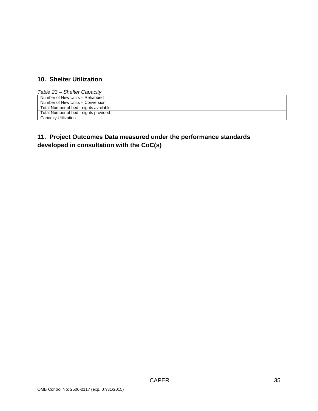# **10. Shelter Utilization**

| Table 23 – Shelter Capacity            |  |
|----------------------------------------|--|
| Number of New Units - Rehabbed         |  |
| Number of New Units - Conversion       |  |
| Total Number of bed - nights available |  |
| Total Number of bed - nights provided  |  |
| Capacity Utilization                   |  |

# **11. Project Outcomes Data measured under the performance standards developed in consultation with the CoC(s)**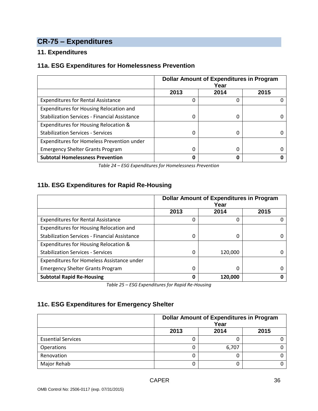# <span id="page-35-0"></span>**CR-75 – Expenditures**

# **11. Expenditures**

## **11a. ESG Expenditures for Homelessness Prevention**

|                                               | <b>Dollar Amount of Expenditures in Program</b><br>Year |      |      |
|-----------------------------------------------|---------------------------------------------------------|------|------|
|                                               | 2013                                                    | 2014 | 2015 |
| <b>Expenditures for Rental Assistance</b>     | $\Omega$                                                | 0    |      |
| Expenditures for Housing Relocation and       |                                                         |      |      |
| Stabilization Services - Financial Assistance | 0                                                       | 0    |      |
| Expenditures for Housing Relocation &         |                                                         |      |      |
| <b>Stabilization Services - Services</b>      | 0                                                       | 0    |      |
| Expenditures for Homeless Prevention under    |                                                         |      |      |
| <b>Emergency Shelter Grants Program</b>       | O                                                       | 0    |      |
| <b>Subtotal Homelessness Prevention</b>       | O                                                       | ŋ    |      |

*Table 24 – ESG Expenditures for Homelessness Prevention*

## **11b. ESG Expenditures for Rapid Re-Housing**

|                                               | <b>Dollar Amount of Expenditures in Program</b><br>Year |         |      |
|-----------------------------------------------|---------------------------------------------------------|---------|------|
|                                               | 2013                                                    | 2014    | 2015 |
| <b>Expenditures for Rental Assistance</b>     | 0                                                       | 0       | Ω    |
| Expenditures for Housing Relocation and       |                                                         |         |      |
| Stabilization Services - Financial Assistance | $\Omega$                                                | 0       |      |
| Expenditures for Housing Relocation &         |                                                         |         |      |
| <b>Stabilization Services - Services</b>      | 0                                                       | 120,000 |      |
| Expenditures for Homeless Assistance under    |                                                         |         |      |
| <b>Emergency Shelter Grants Program</b>       | 0                                                       | 0       |      |
| <b>Subtotal Rapid Re-Housing</b>              | O                                                       | 120,000 |      |

*Table 25 – ESG Expenditures for Rapid Re-Housing*

# **11c. ESG Expenditures for Emergency Shelter**

|                           | <b>Dollar Amount of Expenditures in Program</b><br>Year |       |  |
|---------------------------|---------------------------------------------------------|-------|--|
|                           | 2014                                                    | 2015  |  |
| <b>Essential Services</b> |                                                         |       |  |
| Operations                |                                                         | 6,707 |  |
| Renovation                |                                                         |       |  |
| Major Rehab               |                                                         |       |  |